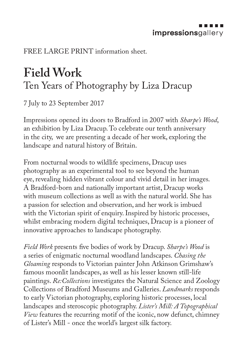FREE LARGE PRINT information sheet.

## **Field Work**  Ten Years of Photography by Liza Dracup

7 July to 23 September 2017

Impressions opened its doors to Bradford in 2007 with *Sharpe's Wood*, an exhibition by Liza Dracup. To celebrate our tenth anniversary in the city, we are presenting a decade of her work, exploring the landscape and natural history of Britain.

From nocturnal woods to wildlife specimens, Dracup uses photography as an experimental tool to see beyond the human eye, revealing hidden vibrant colour and vivid detail in her images. A Bradford-born and nationally important artist, Dracup works with museum collections as well as with the natural world. She has a passion for selection and observation, and her work is imbued with the Victorian spirit of enquiry. Inspired by historic processes, whilst embracing modern digital techniques, Dracup is a pioneer of innovative approaches to landscape photography.

*Field Work* presents five bodies of work by Dracup. *Sharpe's Wood* is a series of enigmatic nocturnal woodland landscapes. *Chasing the Gloaming* responds to Victorian painter John Atkinson Grimshaw's famous moonlit landscapes, as well as his lesser known still-life paintings. *Re:Collections* investigates the Natural Science and Zoology Collections of Bradford Museums and Galleries. *Landmarks* responds to early Victorian photography, exploring historic processes, local landscapes and steroscopic photography. *Lister's Mill: A Topographical View* features the recurring motif of the iconic, now defunct, chimney of Lister's Mill - once the world's largest silk factory.